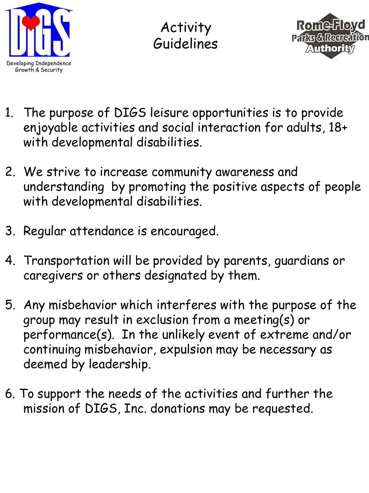

Activity Guidelines



- 1. The purpose of DIGS leisure opportunities is to provide enjoyable activities and social interaction for adults, 18+ with developmental disabilities.
- 2. We strive to increase community awareness and understanding by promoting the positive aspects of people with developmental disabilities.
- 3. Regular attendance is encouraged.
- 4. Transportation will be provided by parents, guardians or caregivers or others designated by them.
- 5. Any misbehavior which interferes with the purpose of the group may result in exclusion from a meeting(s) or performance(s). In the unlikely event of extreme and/or continuing misbehavior, expulsion may be necessary as deemed by leadership.
- 6. To support the needs of the activities and further the mission of DIGS, Inc. donations may be requested.